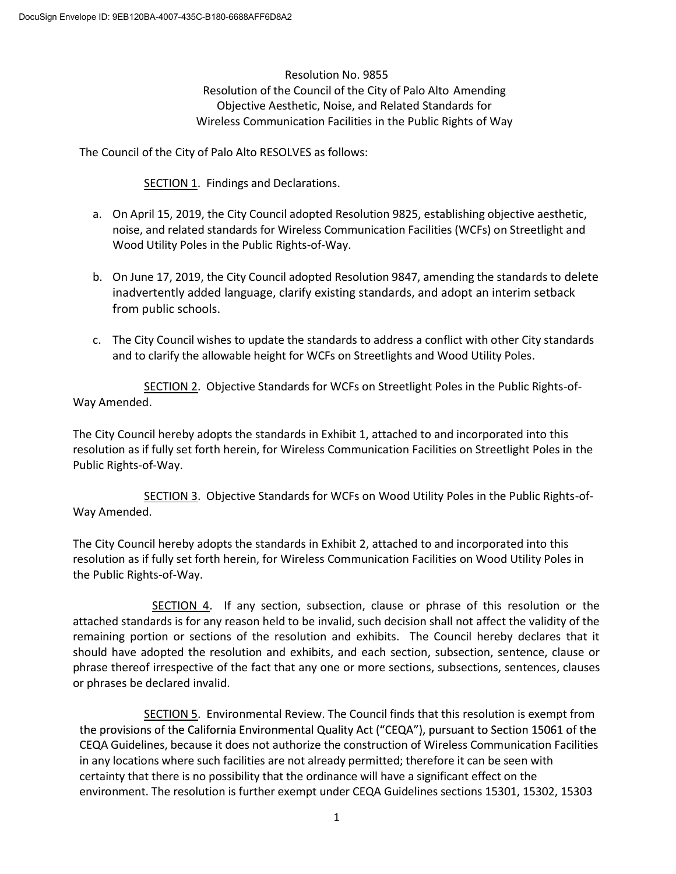Resolution No. 9855 Resolution of the Council of the City of Palo Alto Amending Objective Aesthetic, Noise, and Related Standards for Wireless Communication Facilities in the Public Rights of Way

The Council of the City of Palo Alto RESOLVES as follows:

SECTION 1. Findings and Declarations.

- a. On April 15, 2019, the City Council adopted Resolution 9825, establishing objective aesthetic, noise, and related standards for Wireless Communication Facilities (WCFs) on Streetlight and Wood Utility Poles in the Public Rights-of-Way.
- b. On June 17, 2019, the City Council adopted Resolution 9847, amending the standards to delete inadvertently added language, clarify existing standards, and adopt an interim setback from public schools.
- c. The City Council wishes to update the standards to address a conflict with other City standards and to clarify the allowable height for WCFs on Streetlights and Wood Utility Poles.

SECTION 2. Objective Standards for WCFs on Streetlight Poles in the Public Rights-of-Way Amended.

The City Council hereby adopts the standards in Exhibit 1, attached to and incorporated into this resolution as if fully set forth herein, for Wireless Communication Facilities on Streetlight Poles in the Public Rights-of-Way.

SECTION 3. Objective Standards for WCFs on Wood Utility Poles in the Public Rights-of-Way Amended.

The City Council hereby adopts the standards in Exhibit 2, attached to and incorporated into this resolution as if fully set forth herein, for Wireless Communication Facilities on Wood Utility Poles in the Public Rights-of-Way.

SECTION 4. If any section, subsection, clause or phrase of this resolution or the attached standards is for any reason held to be invalid, such decision shall not affect the validity of the remaining portion or sections of the resolution and exhibits. The Council hereby declares that it should have adopted the resolution and exhibits, and each section, subsection, sentence, clause or phrase thereof irrespective of the fact that any one or more sections, subsections, sentences, clauses or phrases be declared invalid.

SECTION 5. Environmental Review. The Council finds that this resolution is exempt from the provisions of the California Environmental Quality Act ("CEQA"), pursuant to Section 15061 of the CEQA Guidelines, because it does not authorize the construction of Wireless Communication Facilities in any locations where such facilities are not already permitted; therefore it can be seen with certainty that there is no possibility that the ordinance will have a significant effect on the environment. The resolution is further exempt under CEQA Guidelines sections 15301, 15302, 15303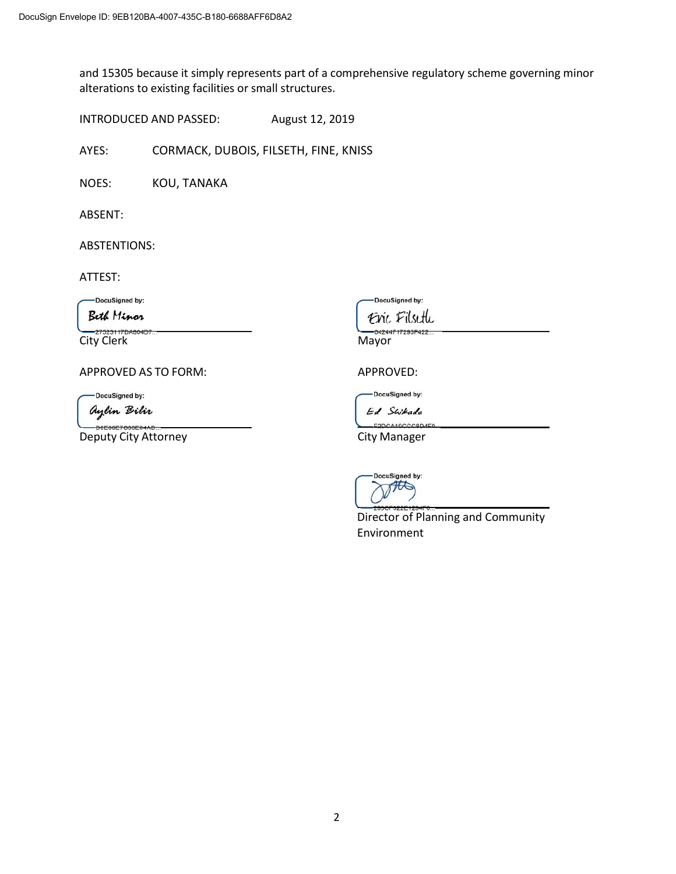and 15305 because it simply represents part of a comprehensive regulatory scheme governing minor alterations to existing facilities or small structures.

INTRODUCED AND PASSED: August 12, 2019

AYES: CORMACK, DUBOIS, FILSETH, FINE, KNISS

NOES: KOU, TANAKA

ABSENT:

ABSTENTIONS:

ATTEST:

-DocuSigned by:

**Beth Minor** 

City Clerk Mayor

APPROVED AS TO FORM: APPROVED:

DocuSigned by:

aylin Bilir

6E7083E64AE Deputy City Attorney **City Manager** 

DocuSigned by:

Eric Filseth

DocuSigned by:

Ed Swikada



Director of Planning and Community Environment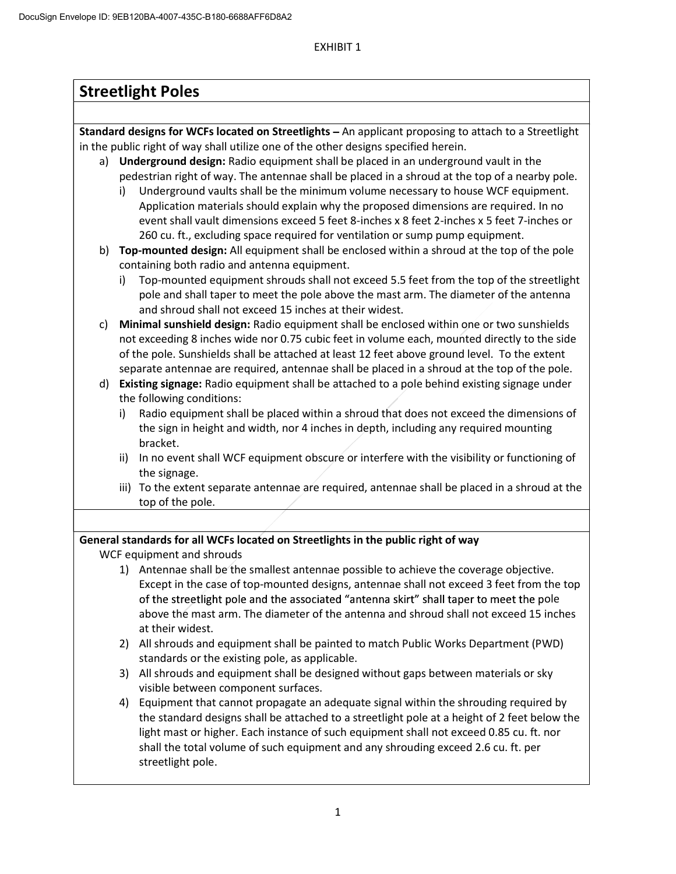# EXHIBIT 1

| <b>Streetlight Poles</b>                                                                              |                                                                                                                                                                                              |  |  |  |  |
|-------------------------------------------------------------------------------------------------------|----------------------------------------------------------------------------------------------------------------------------------------------------------------------------------------------|--|--|--|--|
|                                                                                                       |                                                                                                                                                                                              |  |  |  |  |
| Standard designs for WCFs located on Streetlights - An applicant proposing to attach to a Streetlight |                                                                                                                                                                                              |  |  |  |  |
| in the public right of way shall utilize one of the other designs specified herein.                   |                                                                                                                                                                                              |  |  |  |  |
|                                                                                                       | a) Underground design: Radio equipment shall be placed in an underground vault in the                                                                                                        |  |  |  |  |
|                                                                                                       | pedestrian right of way. The antennae shall be placed in a shroud at the top of a nearby pole.                                                                                               |  |  |  |  |
|                                                                                                       | Underground vaults shall be the minimum volume necessary to house WCF equipment.<br>i)                                                                                                       |  |  |  |  |
|                                                                                                       | Application materials should explain why the proposed dimensions are required. In no                                                                                                         |  |  |  |  |
|                                                                                                       | event shall vault dimensions exceed 5 feet 8-inches x 8 feet 2-inches x 5 feet 7-inches or                                                                                                   |  |  |  |  |
|                                                                                                       | 260 cu. ft., excluding space required for ventilation or sump pump equipment.                                                                                                                |  |  |  |  |
|                                                                                                       | b) Top-mounted design: All equipment shall be enclosed within a shroud at the top of the pole                                                                                                |  |  |  |  |
|                                                                                                       | containing both radio and antenna equipment.                                                                                                                                                 |  |  |  |  |
|                                                                                                       | Top-mounted equipment shrouds shall not exceed 5.5 feet from the top of the streetlight<br>i)                                                                                                |  |  |  |  |
|                                                                                                       | pole and shall taper to meet the pole above the mast arm. The diameter of the antenna                                                                                                        |  |  |  |  |
|                                                                                                       | and shroud shall not exceed 15 inches at their widest.                                                                                                                                       |  |  |  |  |
| C)                                                                                                    | Minimal sunshield design: Radio equipment shall be enclosed within one or two sunshields                                                                                                     |  |  |  |  |
| not exceeding 8 inches wide nor 0.75 cubic feet in volume each, mounted directly to the side          |                                                                                                                                                                                              |  |  |  |  |
|                                                                                                       | of the pole. Sunshields shall be attached at least 12 feet above ground level. To the extent<br>separate antennae are required, antennae shall be placed in a shroud at the top of the pole. |  |  |  |  |
|                                                                                                       | d) Existing signage: Radio equipment shall be attached to a pole behind existing signage under                                                                                               |  |  |  |  |
|                                                                                                       | the following conditions:                                                                                                                                                                    |  |  |  |  |
|                                                                                                       | Radio equipment shall be placed within a shroud that does not exceed the dimensions of<br>i)                                                                                                 |  |  |  |  |
|                                                                                                       | the sign in height and width, nor 4 inches in depth, including any required mounting                                                                                                         |  |  |  |  |
|                                                                                                       | bracket.                                                                                                                                                                                     |  |  |  |  |
|                                                                                                       | In no event shall WCF equipment obscure or interfere with the visibility or functioning of<br>ii)                                                                                            |  |  |  |  |
|                                                                                                       | the signage.                                                                                                                                                                                 |  |  |  |  |
|                                                                                                       | iii) To the extent separate antennae are required, antennae shall be placed in a shroud at the                                                                                               |  |  |  |  |
|                                                                                                       | top of the pole.                                                                                                                                                                             |  |  |  |  |
|                                                                                                       |                                                                                                                                                                                              |  |  |  |  |
|                                                                                                       | General standards for all WCFs located on Streetlights in the public right of way                                                                                                            |  |  |  |  |
|                                                                                                       | WCF equipment and shrouds                                                                                                                                                                    |  |  |  |  |
|                                                                                                       | 1) Antennae shall be the smallest antennae possible to achieve the coverage objective.                                                                                                       |  |  |  |  |
|                                                                                                       | Except in the case of top-mounted designs, antennae shall not exceed 3 feet from the top                                                                                                     |  |  |  |  |
|                                                                                                       | of the streetlight pole and the associated "antenna skirt" shall taper to meet the pole                                                                                                      |  |  |  |  |
|                                                                                                       | above the mast arm. The diameter of the antenna and shroud shall not exceed 15 inches                                                                                                        |  |  |  |  |
|                                                                                                       | at their widest.                                                                                                                                                                             |  |  |  |  |
|                                                                                                       | All shrouds and equipment shall be painted to match Public Works Department (PWD)<br>2)                                                                                                      |  |  |  |  |
|                                                                                                       | standards or the existing pole, as applicable.                                                                                                                                               |  |  |  |  |
|                                                                                                       | All shrouds and equipment shall be designed without gaps between materials or sky<br>3)                                                                                                      |  |  |  |  |
|                                                                                                       | visible between component surfaces.                                                                                                                                                          |  |  |  |  |
|                                                                                                       | Equipment that cannot propagate an adequate signal within the shrouding required by<br>4)                                                                                                    |  |  |  |  |
|                                                                                                       | the standard designs shall be attached to a streetlight pole at a height of 2 feet below the                                                                                                 |  |  |  |  |
|                                                                                                       | light mast or higher. Each instance of such equipment shall not exceed 0.85 cu. ft. nor                                                                                                      |  |  |  |  |
|                                                                                                       | shall the total volume of such equipment and any shrouding exceed 2.6 cu. ft. per                                                                                                            |  |  |  |  |
|                                                                                                       | streetlight pole.                                                                                                                                                                            |  |  |  |  |
|                                                                                                       |                                                                                                                                                                                              |  |  |  |  |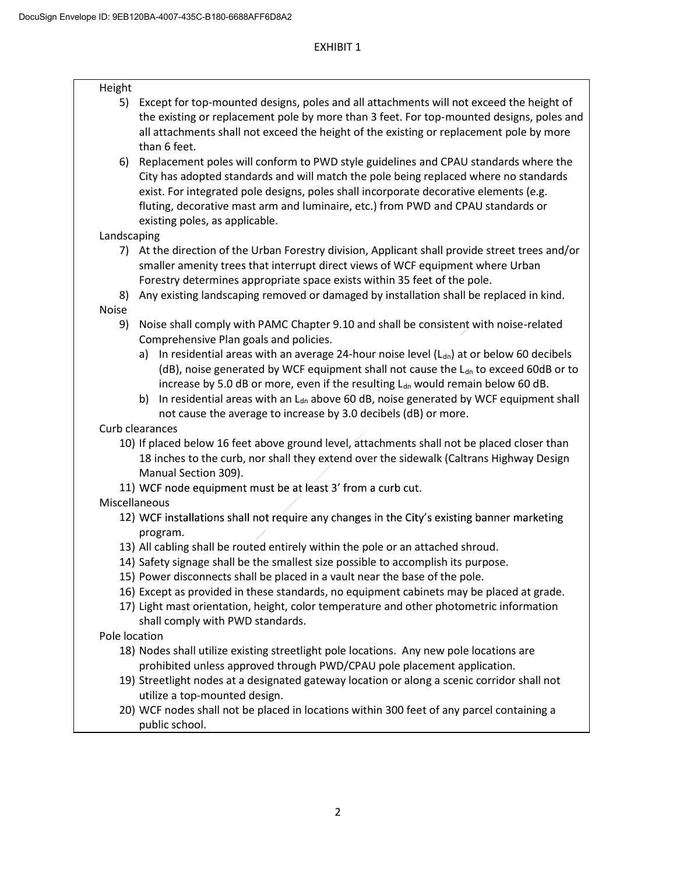| Height        |                                                                                                        |
|---------------|--------------------------------------------------------------------------------------------------------|
| 5)            | Except for top-mounted designs, poles and all attachments will not exceed the height of                |
|               | the existing or replacement pole by more than 3 feet. For top-mounted designs, poles and               |
|               | all attachments shall not exceed the height of the existing or replacement pole by more                |
|               | than 6 feet.                                                                                           |
| 6)            | Replacement poles will conform to PWD style guidelines and CPAU standards where the                    |
|               | City has adopted standards and will match the pole being replaced where no standards                   |
|               | exist. For integrated pole designs, poles shall incorporate decorative elements (e.g.                  |
|               | fluting, decorative mast arm and luminaire, etc.) from PWD and CPAU standards or                       |
|               | existing poles, as applicable.                                                                         |
| Landscaping   |                                                                                                        |
|               | 7) At the direction of the Urban Forestry division, Applicant shall provide street trees and/or        |
|               | smaller amenity trees that interrupt direct views of WCF equipment where Urban                         |
|               | Forestry determines appropriate space exists within 35 feet of the pole.                               |
| 8)            | Any existing landscaping removed or damaged by installation shall be replaced in kind.                 |
| <b>Noise</b>  |                                                                                                        |
| 9)            | Noise shall comply with PAMC Chapter 9.10 and shall be consistent with noise-related                   |
|               | Comprehensive Plan goals and policies.                                                                 |
|               | In residential areas with an average 24-hour noise level ( $L_{dn}$ ) at or below 60 decibels<br>a)    |
|               | (dB), noise generated by WCF equipment shall not cause the L <sub>dn</sub> to exceed 60dB or to        |
|               | increase by 5.0 dB or more, even if the resulting L <sub>dn</sub> would remain below 60 dB.            |
|               | In residential areas with an L <sub>dn</sub> above 60 dB, noise generated by WCF equipment shall<br>b) |
|               | not cause the average to increase by 3.0 decibels (dB) or more.                                        |
|               | Curb clearances                                                                                        |
|               | 10) If placed below 16 feet above ground level, attachments shall not be placed closer than            |
|               | 18 inches to the curb, nor shall they extend over the sidewalk (Caltrans Highway Design                |
|               | Manual Section 309).                                                                                   |
|               | 11) WCF node equipment must be at least 3' from a curb cut.                                            |
| Miscellaneous | 12) WCF installations shall not require any changes in the City's existing banner marketing            |
|               |                                                                                                        |
|               | program.<br>13) All cabling shall be routed entirely within the pole or an attached shroud.            |
|               | 14) Safety signage shall be the smallest size possible to accomplish its purpose.                      |
|               | 15) Power disconnects shall be placed in a vault near the base of the pole.                            |
|               | 16) Except as provided in these standards, no equipment cabinets may be placed at grade.               |
|               | 17) Light mast orientation, height, color temperature and other photometric information                |
|               | shall comply with PWD standards.                                                                       |
| Pole location |                                                                                                        |
|               | 18) Nodes shall utilize existing streetlight pole locations. Any new pole locations are                |
|               | prohibited unless approved through PWD/CPAU pole placement application.                                |
|               | 19) Streetlight nodes at a designated gateway location or along a scenic corridor shall not            |
|               | utilize a top-mounted design.                                                                          |
|               | 20) WCF nodes shall not be placed in locations within 300 feet of any parcel containing a              |
|               | public school.                                                                                         |
|               |                                                                                                        |
|               |                                                                                                        |
|               |                                                                                                        |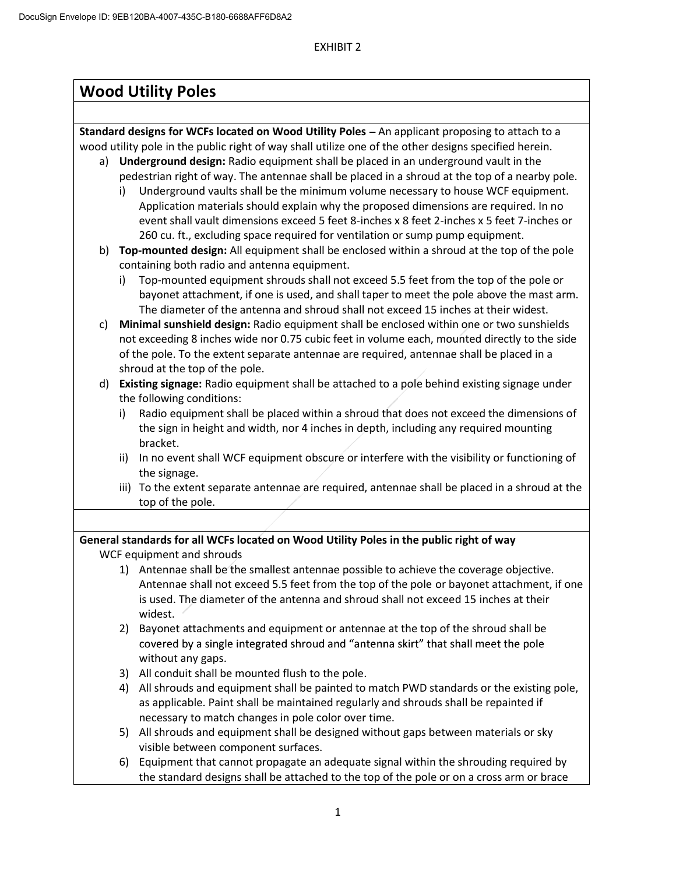# **Wood Utility Poles**

**Standard designs for WCFs located on Wood Utility Poles** - An applicant proposing to attach to a wood utility pole in the public right of way shall utilize one of the other designs specified herein.

- a) **Underground design:** Radio equipment shall be placed in an underground vault in the pedestrian right of way. The antennae shall be placed in a shroud at the top of a nearby pole.
	- i) Underground vaults shall be the minimum volume necessary to house WCF equipment. Application materials should explain why the proposed dimensions are required. In no event shall vault dimensions exceed 5 feet 8-inches x 8 feet 2-inches x 5 feet 7-inches or 260 cu. ft., excluding space required for ventilation or sump pump equipment.
- b) **Top-mounted design:** All equipment shall be enclosed within a shroud at the top of the pole containing both radio and antenna equipment.
	- i) Top-mounted equipment shrouds shall not exceed 5.5 feet from the top of the pole or bayonet attachment, if one is used, and shall taper to meet the pole above the mast arm. The diameter of the antenna and shroud shall not exceed 15 inches at their widest.
- c) **Minimal sunshield design:** Radio equipment shall be enclosed within one or two sunshields not exceeding 8 inches wide nor 0.75 cubic feet in volume each, mounted directly to the side of the pole. To the extent separate antennae are required, antennae shall be placed in a shroud at the top of the pole.
- d) **Existing signage:** Radio equipment shall be attached to a pole behind existing signage under the following conditions:
	- i) Radio equipment shall be placed within a shroud that does not exceed the dimensions of the sign in height and width, nor 4 inches in depth, including any required mounting bracket.
	- ii) In no event shall WCF equipment obscure or interfere with the visibility or functioning of the signage.
	- iii) To the extent separate antennae are required, antennae shall be placed in a shroud at the top of the pole.

# **General standards for all WCFs located on Wood Utility Poles in the public right of way**

WCF equipment and shrouds

- 1) Antennae shall be the smallest antennae possible to achieve the coverage objective. Antennae shall not exceed 5.5 feet from the top of the pole or bayonet attachment, if one is used. The diameter of the antenna and shroud shall not exceed 15 inches at their widest.
- 2) Bayonet attachments and equipment or antennae at the top of the shroud shall be covered by a single integrated shroud and "antenna skirt" that shall meet the pole without any gaps.
- 3) All conduit shall be mounted flush to the pole.
- 4) All shrouds and equipment shall be painted to match PWD standards or the existing pole, as applicable. Paint shall be maintained regularly and shrouds shall be repainted if necessary to match changes in pole color over time.
- 5) All shrouds and equipment shall be designed without gaps between materials or sky visible between component surfaces.
- 6) Equipment that cannot propagate an adequate signal within the shrouding required by the standard designs shall be attached to the top of the pole or on a cross arm or brace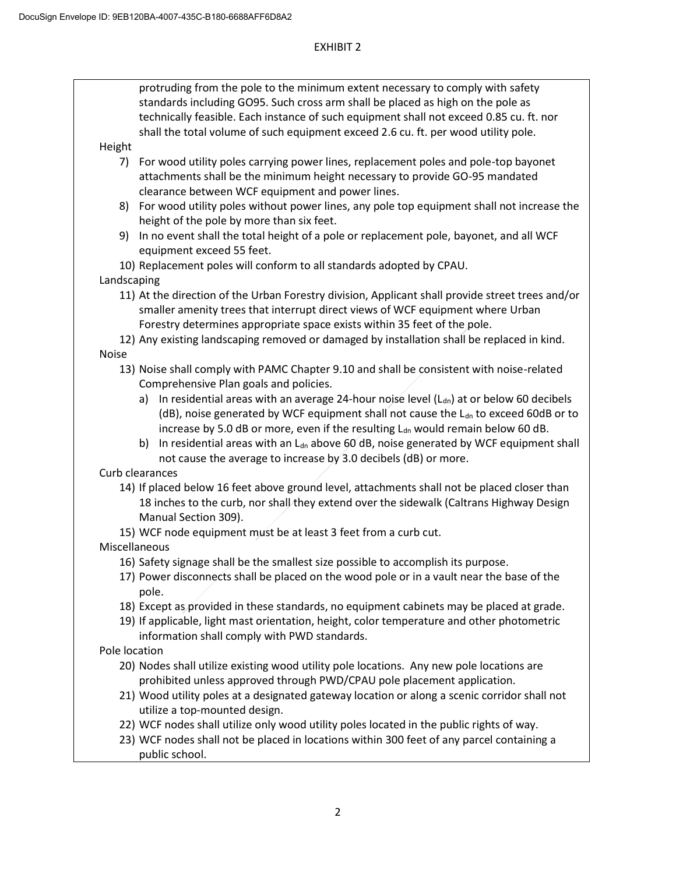# EXHIBIT 2

protruding from the pole to the minimum extent necessary to comply with safety standards including GO95. Such cross arm shall be placed as high on the pole as technically feasible. Each instance of such equipment shall not exceed 0.85 cu. ft. nor shall the total volume of such equipment exceed 2.6 cu. ft. per wood utility pole.

# Height

- 7) For wood utility poles carrying power lines, replacement poles and pole-top bayonet attachments shall be the minimum height necessary to provide GO-95 mandated clearance between WCF equipment and power lines.
- 8) For wood utility poles without power lines, any pole top equipment shall not increase the height of the pole by more than six feet.
- 9) In no event shall the total height of a pole or replacement pole, bayonet, and all WCF equipment exceed 55 feet.

10) Replacement poles will conform to all standards adopted by CPAU. Landscaping

- 11) At the direction of the Urban Forestry division, Applicant shall provide street trees and/or smaller amenity trees that interrupt direct views of WCF equipment where Urban Forestry determines appropriate space exists within 35 feet of the pole.
- 12) Any existing landscaping removed or damaged by installation shall be replaced in kind. Noise
	- 13) Noise shall comply with PAMC Chapter 9.10 and shall be consistent with noise-related Comprehensive Plan goals and policies.
		- a) In residential areas with an average 24-hour noise level  $(L_{dn})$  at or below 60 decibels (dB), noise generated by WCF equipment shall not cause the  $L_{dn}$  to exceed 60dB or to increase by 5.0 dB or more, even if the resulting  $L_{dn}$  would remain below 60 dB.
		- b) In residential areas with an  $L<sub>dn</sub>$  above 60 dB, noise generated by WCF equipment shall not cause the average to increase by 3.0 decibels (dB) or more.

Curb clearances

- 14) If placed below 16 feet above ground level, attachments shall not be placed closer than 18 inches to the curb, nor shall they extend over the sidewalk (Caltrans Highway Design Manual Section 309).
- 15) WCF node equipment must be at least 3 feet from a curb cut.
- Miscellaneous
	- 16) Safety signage shall be the smallest size possible to accomplish its purpose.
	- 17) Power disconnects shall be placed on the wood pole or in a vault near the base of the pole.
	- 18) Except as provided in these standards, no equipment cabinets may be placed at grade.
	- 19) If applicable, light mast orientation, height, color temperature and other photometric information shall comply with PWD standards.

Pole location

- 20) Nodes shall utilize existing wood utility pole locations. Any new pole locations are prohibited unless approved through PWD/CPAU pole placement application.
- 21) Wood utility poles at a designated gateway location or along a scenic corridor shall not utilize a top-mounted design.
- 22) WCF nodes shall utilize only wood utility poles located in the public rights of way.
- 23) WCF nodes shall not be placed in locations within 300 feet of any parcel containing a public school.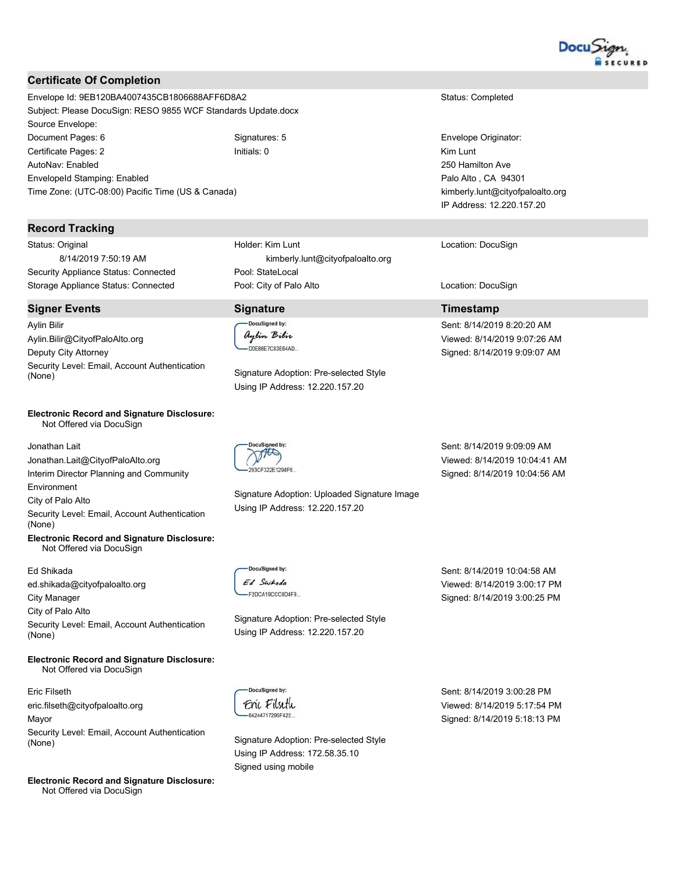

## **Certificate Of Completion**

Envelope Id: 9EB120BA4007435CB1806688AFF6D8A2 Subject: Please DocuSign: RESO 9855 WCF Standards Update.docx Source Envelope: Document Pages: 6 Signatures: 5 Certificate Pages: 2 Initials: 0 AutoNav: Enabled Envelopeld Stamping: Enabled Time Zone: (UTC-08:00) Pacific Time (US & Canada)

### **Record Tracking**

Status: Original 8/14/2019 7:50:19 AM Security Appliance Status: Connected Storage Appliance Status: Connected

#### **Signer Events**

**Aylin Bilir** Aylin.Bilir@CityofPaloAlto.org Deputy City Attorney Security Level: Email, Account Authentication (None)

#### **Electronic Record and Signature Disclosure:** Not Offered via DocuSign

Jonathan Lait Jonathan.Lait@CityofPaloAlto.org Interim Director Planning and Community Environment City of Palo Alto Security Level: Email, Account Authentication (None) **Electronic Record and Signature Disclosure:** 

Not Offered via DocuSign

#### Ed Shikada

ed.shikada@cityofpaloalto.org **City Manager** City of Palo Alto Security Level: Email, Account Authentication (None)

**Electronic Record and Signature Disclosure:** Not Offered via DocuSign

Eric Filseth eric.filseth@cityofpaloalto.org Mayor Security Level: Email, Account Authentication (None)

**Electronic Record and Signature Disclosure:** Not Offered via DocuSign

Holder: Kim Lunt kimberly.lunt@cityofpaloalto.org Pool: StateLocal Pool: City of Palo Alto

## **Signature**

DocuSigned by: aylin Bilir -D0E86E7C83E64AD...

THIS

Signature Adoption: Pre-selected Style Using IP Address: 12.220.157.20

Signature Adoption: Uploaded Signature Image Using IP Address: 12.220.157.20

Sent: 8/14/2019 9:09:09 AM Viewed: 8/14/2019 10:04:41 AM Signed: 8/14/2019 10:04:56 AM

DocuSigned by: Ed Swikada -F2DCA19CCC8D4F9

Signature Adoption: Pre-selected Style Using IP Address: 12.220.157.20

> Sent: 8/14/2019 3:00:28 PM Viewed: 8/14/2019 5:17:54 PM Signed: 8/14/2019 5:18:13 PM

Sent: 8/14/2019 10:04:58 AM

Viewed: 8/14/2019 3:00:17 PM

Signed: 8/14/2019 3:00:25 PM

Status: Completed

Envelope Originator: Kim Lunt 250 Hamilton Ave Palo Alto, CA 94301 kimberly.lunt@cityofpaloalto.org IP Address: 12.220.157.20

Location: DocuSign

Location: DocuSign

## **Timestamp**

Sent: 8/14/2019 8:20:20 AM Viewed: 8/14/2019 9:07:26 AM Signed: 8/14/2019 9:09:07 AM

DocuSigned by: Enc Filseth -64244717295F422

Signature Adoption: Pre-selected Style Using IP Address: 172.58.35.10 Signed using mobile